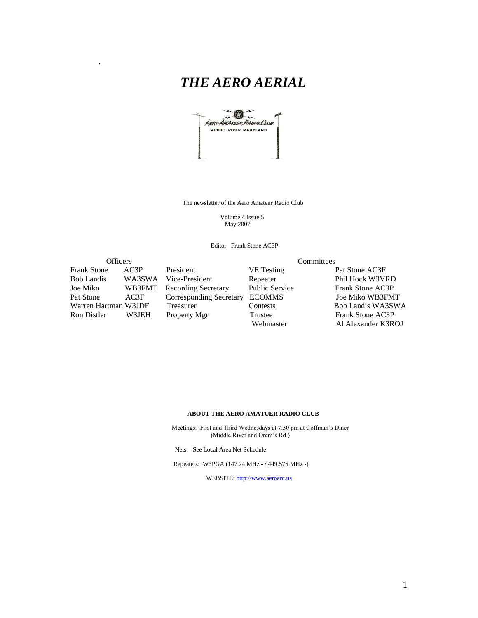# *THE AERO AERIAL*

.



The newsletter of the Aero Amateur Radio Club

 Volume 4 Issue 5 May 2007

Editor Frank Stone AC3P

| <b>Officers</b>      |        |                                | Committees        |                    |  |
|----------------------|--------|--------------------------------|-------------------|--------------------|--|
| Frank Stone          | AC3P   | President                      | <b>VE</b> Testing | Pat Stone AC3F     |  |
| Bob Landis           |        | WA3SWA Vice-President          | Repeater          | Phil Hock W3VRD    |  |
| Joe Miko             | WB3FMT | <b>Recording Secretary</b>     | Public Service    | Frank Stone AC3P   |  |
| Pat Stone            | AC3F   | <b>Corresponding Secretary</b> | <b>ECOMMS</b>     | Joe Miko WB3FMT    |  |
| Warren Hartman W3JDF |        | Treasurer                      | Contests          | Bob Landis WA3SWA  |  |
| Ron Distler          | W3JEH  | Property Mgr                   | Trustee           | Frank Stone AC3P   |  |
|                      |        |                                | Webmaster         | Al Alexander K3ROJ |  |
|                      |        |                                |                   |                    |  |

#### **ABOUT THE AERO AMATUER RADIO CLUB**

 Meetings: First and Third Wednesdays at 7:30 pm at Coffman's Diner (Middle River and Orem's Rd.)

Nets: See Local Area Net Schedule

Repeaters: W3PGA (147.24 MHz - / 449.575 MHz -)

WEBSITE: [http://www.aeroarc.us](http://www.aeroarc.us/)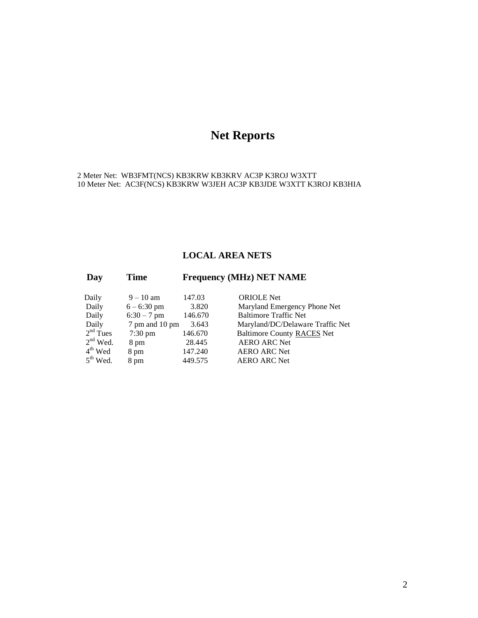# **Net Reports**

2 Meter Net: WB3FMT(NCS) KB3KRW KB3KRV AC3P K3ROJ W3XTT 10 Meter Net: AC3F(NCS) KB3KRW W3JEH AC3P KB3JDE W3XTT K3ROJ KB3HIA

#### **LOCAL AREA NETS**

| Day        | <b>Time</b>       | <b>Frequency (MHz) NET NAME</b> |                                   |  |  |
|------------|-------------------|---------------------------------|-----------------------------------|--|--|
| Daily      | $9 - 10$ am       | 147.03                          | <b>ORIOLE</b> Net                 |  |  |
| Daily      | $6 - 6:30$ pm     | 3.820                           | Maryland Emergency Phone Net      |  |  |
| Daily      | $6:30 - 7$ pm     | 146.670                         | <b>Baltimore Traffic Net</b>      |  |  |
| Daily      | 7 pm and 10 pm    | 3.643                           | Maryland/DC/Delaware Traffic Net  |  |  |
| $2nd$ Tues | $7:30 \text{ pm}$ | 146.670                         | <b>Baltimore County RACES Net</b> |  |  |
| $2nd$ Wed. | 8 pm              | 28.445                          | <b>AERO ARC Net</b>               |  |  |
| $4th$ Wed  | 8 pm              | 147.240                         | <b>AERO ARC Net</b>               |  |  |
| $5th$ Wed. | 8 pm              | 449.575                         | <b>AERO ARC Net</b>               |  |  |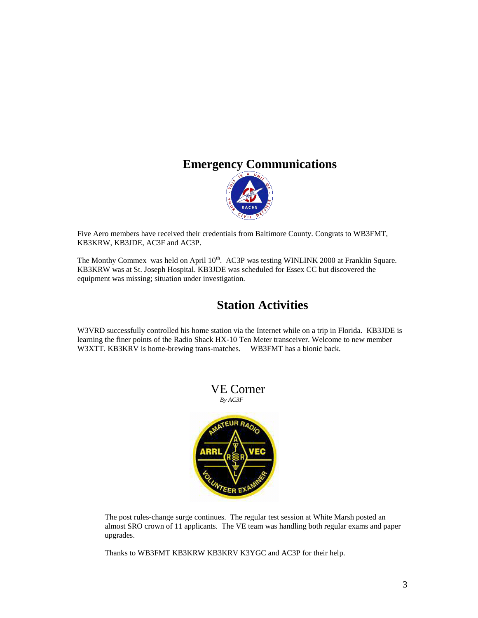#### **Emergency Communications**



Five Aero members have received their credentials from Baltimore County. Congrats to WB3FMT, KB3KRW, KB3JDE, AC3F and AC3P.

The Monthy Commex was held on April 10<sup>th</sup>. AC3P was testing WINLINK 2000 at Franklin Square. KB3KRW was at St. Joseph Hospital. KB3JDE was scheduled for Essex CC but discovered the equipment was missing; situation under investigation.

### **Station Activities**

W3VRD successfully controlled his home station via the Internet while on a trip in Florida. KB3JDE is learning the finer points of the Radio Shack HX-10 Ten Meter transceiver. Welcome to new member W3XTT. KB3KRV is home-brewing trans-matches. WB3FMT has a bionic back.



The post rules-change surge continues. The regular test session at White Marsh posted an almost SRO crown of 11 applicants. The VE team was handling both regular exams and paper upgrades.

Thanks to WB3FMT KB3KRW KB3KRV K3YGC and AC3P for their help.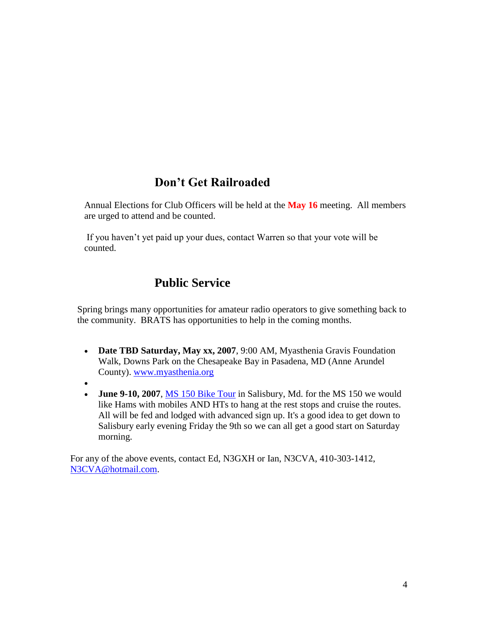## **Don't Get Railroaded**

Annual Elections for Club Officers will be held at the **May 16** meeting. All members are urged to attend and be counted.

If you haven't yet paid up your dues, contact Warren so that your vote will be counted.

## **Public Service**

Spring brings many opportunities for amateur radio operators to give something back to the community. BRATS has opportunities to help in the coming months.

- **Date TBD Saturday, May xx, 2007**, 9:00 AM, Myasthenia Gravis Foundation Walk, Downs Park on the Chesapeake Bay in Pasadena, MD (Anne Arundel County). [www.myasthenia.org](http://www.myasthenia.org/)
- $\bullet$
- **June 9-10, 2007**, MS 150 [Bike Tour](http://main.nationalmssociety.org/site/PageServer?pagename=BIKE_MDM_homepage) in Salisbury, Md. for the MS 150 we would like Hams with mobiles AND HTs to hang at the rest stops and cruise the routes. All will be fed and lodged with advanced sign up. It's a good idea to get down to Salisbury early evening Friday the 9th so we can all get a good start on Saturday morning.

For any of the above events, contact Ed, N3GXH or Ian, N3CVA, 410-303-1412, [N3CVA@hotmail.com.](mailto:N3CVA@hotmail.com)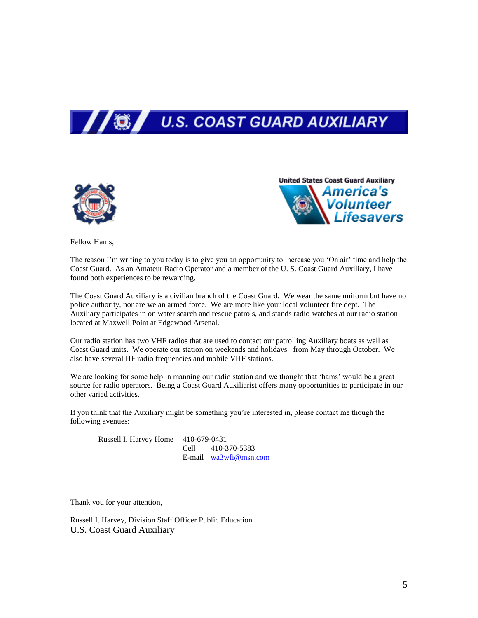





Fellow Hams,

The reason I'm writing to you today is to give you an opportunity to increase you 'On air' time and help the Coast Guard. As an Amateur Radio Operator and a member of the U. S. Coast Guard Auxiliary, I have found both experiences to be rewarding.

The Coast Guard Auxiliary is a civilian branch of the Coast Guard. We wear the same uniform but have no police authority, nor are we an armed force. We are more like your local volunteer fire dept. The Auxiliary participates in on water search and rescue patrols, and stands radio watches at our radio station located at Maxwell Point at Edgewood Arsenal.

Our radio station has two VHF radios that are used to contact our patrolling Auxiliary boats as well as Coast Guard units. We operate our station on weekends and holidays from May through October. We also have several HF radio frequencies and mobile VHF stations.

We are looking for some help in manning our radio station and we thought that 'hams' would be a great source for radio operators. Being a Coast Guard Auxiliarist offers many opportunities to participate in our other varied activities.

If you think that the Auxiliary might be something you're interested in, please contact me though the following avenues:

| Russell I. Harvey Home 410-679-0431 |  |                         |  |
|-------------------------------------|--|-------------------------|--|
|                                     |  | Cell 410-370-5383       |  |
|                                     |  | E-mail $wa3wfi@msn.com$ |  |

Thank you for your attention,

Russell I. Harvey, Division Staff Officer Public Education U.S. Coast Guard Auxiliary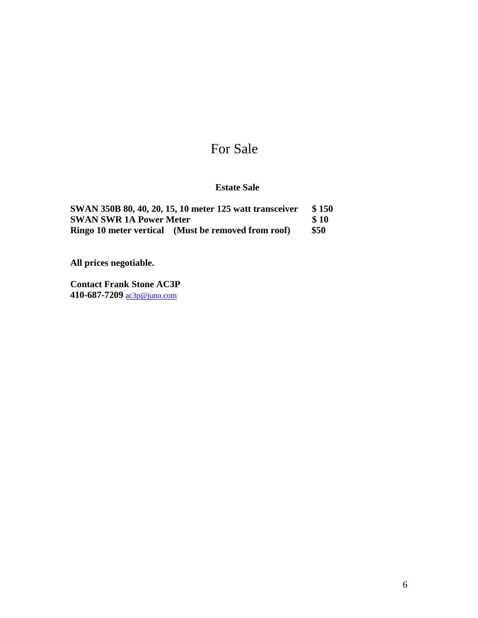# For Sale

#### **Estate Sale**

|                                | SWAN 350B 80, 40, 20, 15, 10 meter 125 watt transceiver | \$150       |
|--------------------------------|---------------------------------------------------------|-------------|
| <b>SWAN SWR 1A Power Meter</b> |                                                         | <b>S</b> 10 |
|                                | Ringo 10 meter vertical (Must be removed from roof)     | \$50        |

**All prices negotiable.**

**Contact Frank Stone AC3P 410-687-7209** [ac3p@juno.com](mailto:ac3p@juno.com)